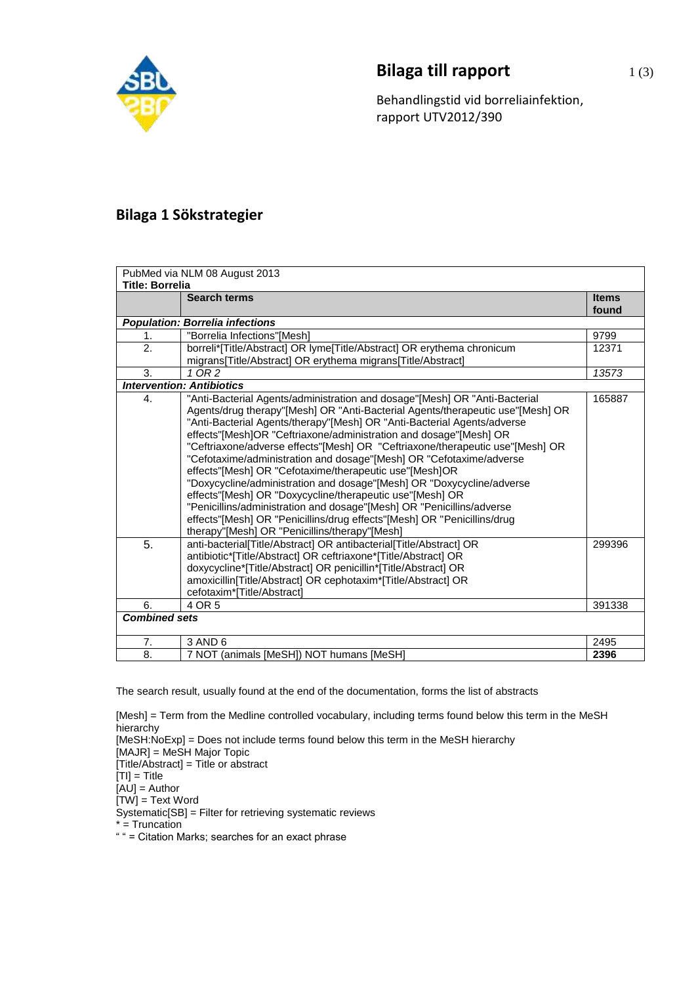

## **Bilaga till rapport** 1(3)

Behandlingstid vid borreliainfektion, rapport UTV2012/390

## **Bilaga 1 Sökstrategier**

| PubMed via NLM 08 August 2013          |                                                                                                                                                                                                                                                                                                                                                                                                                                                                                                                                                                                                                                                                                                                                                                                                                                                                          |              |  |  |
|----------------------------------------|--------------------------------------------------------------------------------------------------------------------------------------------------------------------------------------------------------------------------------------------------------------------------------------------------------------------------------------------------------------------------------------------------------------------------------------------------------------------------------------------------------------------------------------------------------------------------------------------------------------------------------------------------------------------------------------------------------------------------------------------------------------------------------------------------------------------------------------------------------------------------|--------------|--|--|
| <b>Title: Borrelia</b>                 |                                                                                                                                                                                                                                                                                                                                                                                                                                                                                                                                                                                                                                                                                                                                                                                                                                                                          |              |  |  |
|                                        | <b>Search terms</b>                                                                                                                                                                                                                                                                                                                                                                                                                                                                                                                                                                                                                                                                                                                                                                                                                                                      | <b>Items</b> |  |  |
|                                        |                                                                                                                                                                                                                                                                                                                                                                                                                                                                                                                                                                                                                                                                                                                                                                                                                                                                          | found        |  |  |
| <b>Population: Borrelia infections</b> |                                                                                                                                                                                                                                                                                                                                                                                                                                                                                                                                                                                                                                                                                                                                                                                                                                                                          |              |  |  |
| 1.                                     | "Borrelia Infections"[Mesh]                                                                                                                                                                                                                                                                                                                                                                                                                                                                                                                                                                                                                                                                                                                                                                                                                                              | 9799         |  |  |
| 2.                                     | borreli*[Title/Abstract] OR lyme[Title/Abstract] OR erythema chronicum                                                                                                                                                                                                                                                                                                                                                                                                                                                                                                                                                                                                                                                                                                                                                                                                   | 12371        |  |  |
|                                        | migrans[Title/Abstract] OR erythema migrans[Title/Abstract]                                                                                                                                                                                                                                                                                                                                                                                                                                                                                                                                                                                                                                                                                                                                                                                                              |              |  |  |
| 3.                                     | $1$ OR $2$                                                                                                                                                                                                                                                                                                                                                                                                                                                                                                                                                                                                                                                                                                                                                                                                                                                               | 13573        |  |  |
| <b>Intervention: Antibiotics</b>       |                                                                                                                                                                                                                                                                                                                                                                                                                                                                                                                                                                                                                                                                                                                                                                                                                                                                          |              |  |  |
| 4.                                     | "Anti-Bacterial Agents/administration and dosage"[Mesh] OR "Anti-Bacterial<br>Agents/drug therapy"[Mesh] OR "Anti-Bacterial Agents/therapeutic use"[Mesh] OR<br>"Anti-Bacterial Agents/therapy"[Mesh] OR "Anti-Bacterial Agents/adverse<br>effects"[Mesh]OR "Ceftriaxone/administration and dosage"[Mesh] OR<br>"Ceftriaxone/adverse effects"[Mesh] OR "Ceftriaxone/therapeutic use"[Mesh] OR<br>"Cefotaxime/administration and dosage"[Mesh] OR "Cefotaxime/adverse<br>effects"[Mesh] OR "Cefotaxime/therapeutic use"[Mesh]OR<br>"Doxycycline/administration and dosage"[Mesh] OR "Doxycycline/adverse<br>effects"[Mesh] OR "Doxycycline/therapeutic use"[Mesh] OR<br>"Penicillins/administration and dosage"[Mesh] OR "Penicillins/adverse<br>effects"[Mesh] OR "Penicillins/drug effects"[Mesh] OR "Penicillins/drug<br>therapy"[Mesh] OR "Penicillins/therapy"[Mesh] | 165887       |  |  |
| 5.                                     | anti-bacterial[Title/Abstract] OR antibacterial[Title/Abstract] OR<br>antibiotic*[Title/Abstract] OR ceftriaxone*[Title/Abstract] OR<br>doxycycline*[Title/Abstract] OR penicillin*[Title/Abstract] OR<br>amoxicillin[Title/Abstract] OR cephotaxim*[Title/Abstract] OR<br>cefotaxim*ITitle/Abstractl                                                                                                                                                                                                                                                                                                                                                                                                                                                                                                                                                                    | 299396       |  |  |
| 6.                                     | 4 OR 5                                                                                                                                                                                                                                                                                                                                                                                                                                                                                                                                                                                                                                                                                                                                                                                                                                                                   | 391338       |  |  |
| <b>Combined sets</b>                   |                                                                                                                                                                                                                                                                                                                                                                                                                                                                                                                                                                                                                                                                                                                                                                                                                                                                          |              |  |  |
| 7.                                     | 3 AND 6                                                                                                                                                                                                                                                                                                                                                                                                                                                                                                                                                                                                                                                                                                                                                                                                                                                                  | 2495         |  |  |
| 8.                                     | 7 NOT (animals [MeSH]) NOT humans [MeSH]                                                                                                                                                                                                                                                                                                                                                                                                                                                                                                                                                                                                                                                                                                                                                                                                                                 | 2396         |  |  |

The search result, usually found at the end of the documentation, forms the list of abstracts

[Mesh] = Term from the Medline controlled vocabulary, including terms found below this term in the MeSH hierarchy

[MeSH:NoExp] = Does not include terms found below this term in the MeSH hierarchy

[MAJR] = MeSH Major Topic

[Title/Abstract] = Title or abstract

 $[TI] = Title$ 

 $[AU]$  = Author

 $[TW] = Text Word$ 

Systematic[SB] = Filter for retrieving systematic reviews

 $* =$  Truncation

" " = Citation Marks; searches for an exact phrase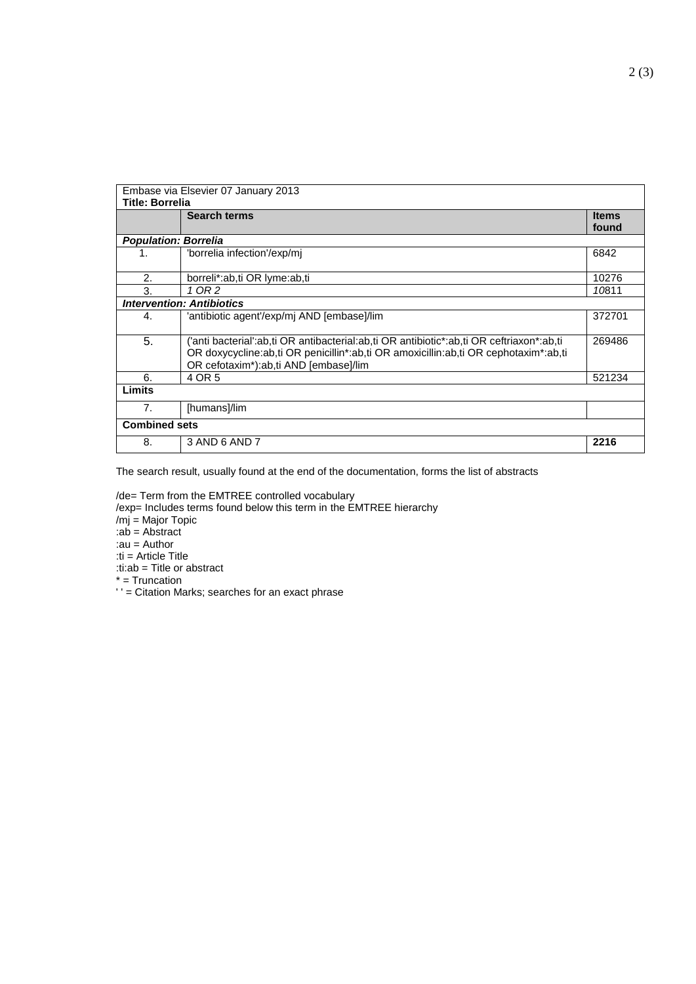|                                  | Embase via Elsevier 07 January 2013                                                                                                                                                                                     |              |  |  |  |
|----------------------------------|-------------------------------------------------------------------------------------------------------------------------------------------------------------------------------------------------------------------------|--------------|--|--|--|
| <b>Title: Borrelia</b>           |                                                                                                                                                                                                                         |              |  |  |  |
|                                  | <b>Search terms</b>                                                                                                                                                                                                     | <b>Items</b> |  |  |  |
|                                  |                                                                                                                                                                                                                         | found        |  |  |  |
|                                  | <b>Population: Borrelia</b>                                                                                                                                                                                             |              |  |  |  |
| 1.                               | 'borrelia infection'/exp/mj                                                                                                                                                                                             | 6842         |  |  |  |
| 2.                               | borreli*:ab,ti OR lyme:ab,ti                                                                                                                                                                                            | 10276        |  |  |  |
| 3.                               | 1 OR 2                                                                                                                                                                                                                  | 10811        |  |  |  |
| <b>Intervention: Antibiotics</b> |                                                                                                                                                                                                                         |              |  |  |  |
| 4.                               | 'antibiotic agent'/exp/mj AND [embase]/lim                                                                                                                                                                              | 372701       |  |  |  |
| 5.                               | 'anti bacterial':ab,ti OR antibacterial:ab,ti OR antibiotic*:ab,ti OR ceftriaxon*:ab,ti<br>OR doxycycline:ab,ti OR penicillin*:ab,ti OR amoxicillin:ab,ti OR cephotaxim*:ab,ti<br>OR cefotaxim*):ab,ti AND [embase]/lim | 269486       |  |  |  |
| 6.                               | 4 OR 5                                                                                                                                                                                                                  | 521234       |  |  |  |
| Limits                           |                                                                                                                                                                                                                         |              |  |  |  |
| 7.                               | [humans]/lim                                                                                                                                                                                                            |              |  |  |  |
| <b>Combined sets</b>             |                                                                                                                                                                                                                         |              |  |  |  |
| 8.                               | 3 AND 6 AND 7                                                                                                                                                                                                           | 2216         |  |  |  |

The search result, usually found at the end of the documentation, forms the list of abstracts

/de= Term from the EMTREE controlled vocabulary

/exp= Includes terms found below this term in the EMTREE hierarchy

/mj = Major Topic

:ab = Abstract

:au = Author

:ti = Article Title :ti:ab = Title or abstract

\* = Truncation

' ' = Citation Marks; searches for an exact phrase